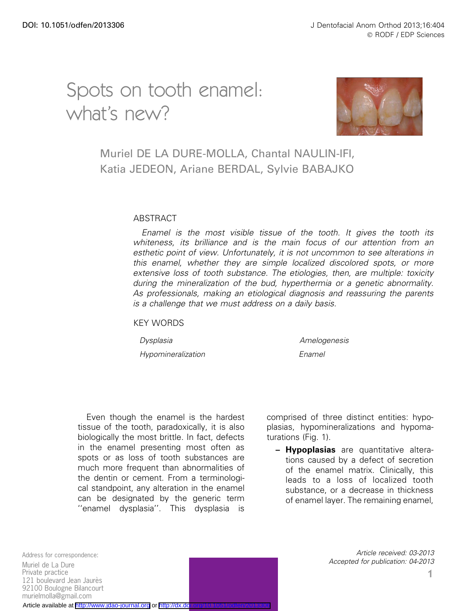# Spots on tooth enamel: what's new?



## Muriel DE LA DURE-MOLLA, Chantal NAULIN-IFI, Katia JEDEON, Ariane BERDAL, Sylvie BABAJKO

#### ABSTRACT

Enamel is the most visible tissue of the tooth. It gives the tooth its whiteness, its brilliance and is the main focus of our attention from an esthetic point of view. Unfortunately, it is not uncommon to see alterations in this enamel, whether they are simple localized discolored spots, or more extensive loss of tooth substance. The etiologies, then, are multiple: toxicity during the mineralization of the bud, hyperthermia or a genetic abnormality. As professionals, making an etiological diagnosis and reassuring the parents is a challenge that we must address on a daily basis.

KEY WORDS

Hypomineralization Enamel

Dysplasia Amelogenesis

Even though the enamel is the hardest tissue of the tooth, paradoxically, it is also biologically the most brittle. In fact, defects in the enamel presenting most often as spots or as loss of tooth substances are much more frequent than abnormalities of the dentin or cement. From a terminological standpoint, any alteration in the enamel can be designated by the generic term ''enamel dysplasia''. This dysplasia is

comprised of three distinct entities: hypoplasias, hypomineralizations and hypomaturations (Fig. 1).

- **Hypoplasias** are quantitative alterations caused by a defect of secretion of the enamel matrix. Clinically, this leads to a loss of localized tooth substance, or a decrease in thickness of enamel layer. The remaining enamel,

Address for correspondence: Muriel de La Dure Private practice 121 boulevard Jean Jaurès 92100 Boulogne Bilancourt murielmolla@gmail.com

Article received: 03-2013 Accepted for publication: 04-2013

Article available at <http://www.jdao-journal.org> or http://dx.do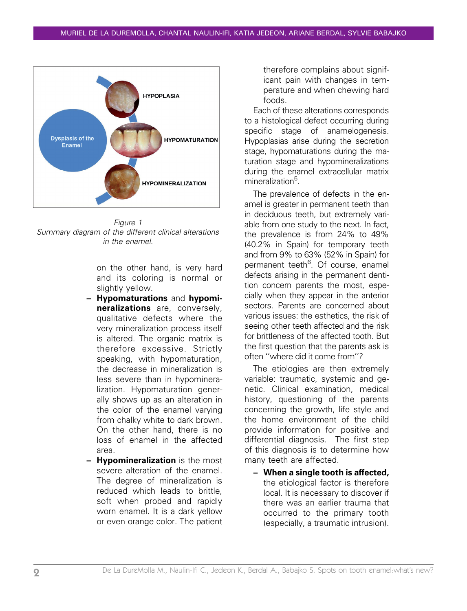

Figure 1 Summary diagram of the different clinical alterations in the enamel.

on the other hand, is very hard and its coloring is normal or slightly yellow.

- Hypomaturations and hypomineralizations are, conversely, qualitative defects where the very mineralization process itself is altered. The organic matrix is therefore excessive. Strictly speaking, with hypomaturation, the decrease in mineralization is less severe than in hypomineralization. Hypomaturation generally shows up as an alteration in the color of the enamel varying from chalky white to dark brown. On the other hand, there is no loss of enamel in the affected area.
- **Hypomineralization** is the most severe alteration of the enamel. The degree of mineralization is reduced which leads to brittle, soft when probed and rapidly worn enamel. It is a dark yellow or even orange color. The patient

therefore complains about significant pain with changes in temperature and when chewing hard foods.

Each of these alterations corresponds to a histological defect occurring during specific stage of anamelogenesis. Hypoplasias arise during the secretion stage, hypomaturations during the maturation stage and hypomineralizations during the enamel extracellular matrix mineralization<sup>5</sup>.

The prevalence of defects in the enamel is greater in permanent teeth than in deciduous teeth, but extremely variable from one study to the next. In fact, the prevalence is from 24% to 49% (40.2% in Spain) for temporary teeth and from 9% to 63% (52% in Spain) for permanent teeth<sup>6</sup>. Of course, enamel defects arising in the permanent dentition concern parents the most, especially when they appear in the anterior sectors. Parents are concerned about various issues: the esthetics, the risk of seeing other teeth affected and the risk for brittleness of the affected tooth. But the first question that the parents ask is often ''where did it come from''?

The etiologies are then extremely variable: traumatic, systemic and genetic. Clinical examination, medical history, questioning of the parents concerning the growth, life style and the home environment of the child provide information for positive and differential diagnosis. The first step of this diagnosis is to determine how many teeth are affected.

– When a single tooth is affected, the etiological factor is therefore local. It is necessary to discover if there was an earlier trauma that occurred to the primary tooth (especially, a traumatic intrusion).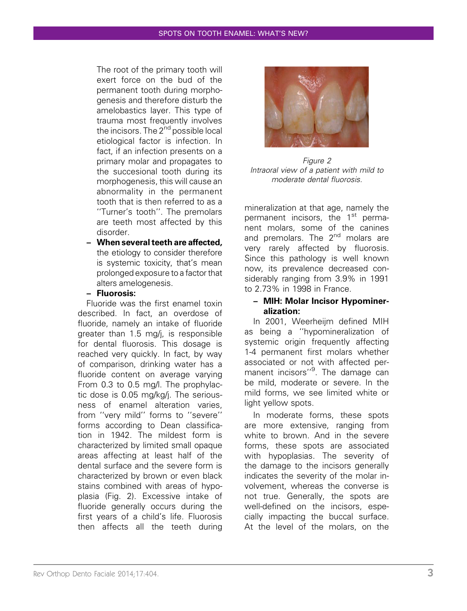The root of the primary tooth will exert force on the bud of the permanent tooth during morphogenesis and therefore disturb the amelobastics layer. This type of trauma most frequently involves the incisors. The  $2^{nd}$  possible local etiological factor is infection. In fact, if an infection presents on a primary molar and propagates to the succesional tooth during its morphogenesis, this will cause an abnormality in the permanent tooth that is then referred to as a ''Turner's tooth''. The premolars are teeth most affected by this disorder.

– When several teeth are affected, the etiology to consider therefore is systemic toxicity, that's mean prolonged exposure to a factor that alters amelogenesis.

#### – Fluorosis:

Fluoride was the first enamel toxin described. In fact, an overdose of fluoride, namely an intake of fluoride greater than 1.5 mg/j, is responsible for dental fluorosis. This dosage is reached very quickly. In fact, by way of comparison, drinking water has a fluoride content on average varying From 0.3 to 0.5 mg/l. The prophylactic dose is 0.05 mg/kg/j. The seriousness of enamel alteration varies, from ''very mild'' forms to ''severe'' forms according to Dean classification in 1942. The mildest form is characterized by limited small opaque areas affecting at least half of the dental surface and the severe form is characterized by brown or even black stains combined with areas of hypoplasia (Fig. 2). Excessive intake of fluoride generally occurs during the first years of a child's life. Fluorosis then affects all the teeth during



Figure 2 Intraoral view of a patient with mild to moderate dental fluorosis.

mineralization at that age, namely the permanent incisors, the  $1<sup>st</sup>$  permanent molars, some of the canines and premolars. The 2<sup>nd</sup> molars are very rarely affected by fluorosis. Since this pathology is well known now, its prevalence decreased considerably ranging from 3.9% in 1991 to 2.73% in 1998 in France.

#### – MIH: Molar Incisor Hypomineralization:

In 2001, Weerheijm defined MIH as being a ''hypomineralization of systemic origin frequently affecting 1-4 permanent first molars whether associated or not with affected permanent incisors"<sup>9</sup>. The damage can be mild, moderate or severe. In the mild forms, we see limited white or light yellow spots.

In moderate forms, these spots are more extensive, ranging from white to brown. And in the severe forms, these spots are associated with hypoplasias. The severity of the damage to the incisors generally indicates the severity of the molar involvement, whereas the converse is not true. Generally, the spots are well-defined on the incisors, especially impacting the buccal surface. At the level of the molars, on the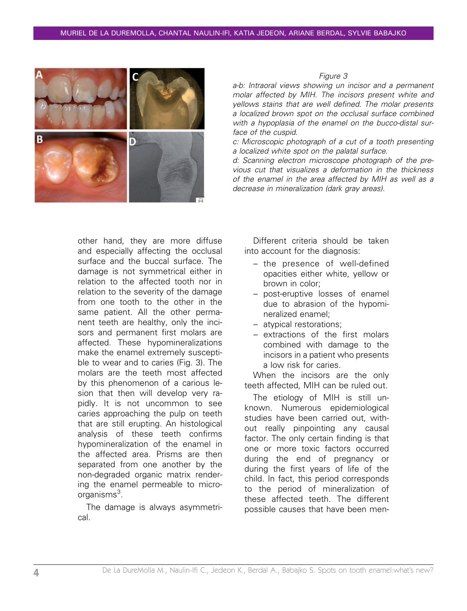

Figure 3

a-b: Intraoral views showing un incisor and a permanent molar affected by MIH. The incisors present white and yellows stains that are well defined. The molar presents a localized brown spot on the occlusal surface combined with a hypoplasia of the enamel on the bucco-distal surface of the cuspid.

c: Microscopic photograph of a cut of a tooth presenting a localized white spot on the palatal surface.

d: Scanning electron microscope photograph of the previous cut that visualizes a deformation in the thickness of the enamel in the area affected by MIH as well as a decrease in mineralization (dark gray areas).

other hand, they are more diffuse and especially affecting the occlusal surface and the buccal surface. The damage is not symmetrical either in relation to the affected tooth nor in relation to the severity of the damage from one tooth to the other in the same patient. All the other permanent teeth are healthy, only the incisors and permanent first molars are affected. These hypomineralizations make the enamel extremely susceptible to wear and to caries (Fig. 3). The molars are the teeth most affected by this phenomenon of a carious lesion that then will develop very rapidly. It is not uncommon to see caries approaching the pulp on teeth that are still erupting. An histological analysis of these teeth confirms hypomineralization of the enamel in the affected area. Prisms are then separated from one another by the non-degraded organic matrix rendering the enamel permeable to microorganisms<sup>3</sup>.

The damage is always asymmetrical.

Different criteria should be taken into account for the diagnosis:

- the presence of well-defined opacities either white, yellow or brown in color;
- post-eruptive losses of enamel due to abrasion of the hypomineralized enamel;
- atypical restorations;
- extractions of the first molars combined with damage to the incisors in a patient who presents a low risk for caries.

When the incisors are the only teeth affected, MIH can be ruled out.

The etiology of MIH is still unknown. Numerous epidemiological studies have been carried out, without really pinpointing any causal factor. The only certain finding is that one or more toxic factors occurred during the end of pregnancy or during the first years of life of the child. In fact, this period corresponds to the period of mineralization of these affected teeth. The different possible causes that have been men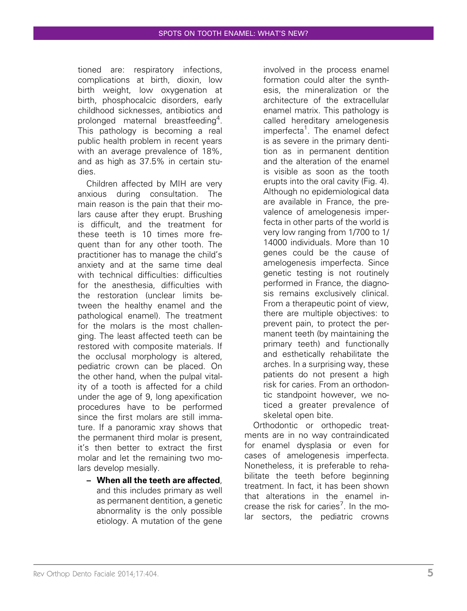tioned are: respiratory infections, complications at birth, dioxin, low birth weight, low oxygenation at birth, phosphocalcic disorders, early childhood sicknesses, antibiotics and prolonged maternal breastfeeding<sup>4</sup>. This pathology is becoming a real public health problem in recent years with an average prevalence of 18%, and as high as 37.5% in certain studies.

Children affected by MIH are very anxious during consultation. The main reason is the pain that their molars cause after they erupt. Brushing is difficult, and the treatment for these teeth is 10 times more frequent than for any other tooth. The practitioner has to manage the child's anxiety and at the same time deal with technical difficulties: difficulties for the anesthesia, difficulties with the restoration (unclear limits between the healthy enamel and the pathological enamel). The treatment for the molars is the most challenging. The least affected teeth can be restored with composite materials. If the occlusal morphology is altered, pediatric crown can be placed. On the other hand, when the pulpal vitality of a tooth is affected for a child under the age of 9, long apexification procedures have to be performed since the first molars are still immature. If a panoramic xray shows that the permanent third molar is present, it's then better to extract the first molar and let the remaining two molars develop mesially.

– When all the teeth are affected, and this includes primary as well as permanent dentition, a genetic abnormality is the only possible etiology. A mutation of the gene

involved in the process enamel formation could alter the synthesis, the mineralization or the architecture of the extracellular enamel matrix. This pathology is called hereditary amelogenesis imperfecta<sup>1</sup>. The enamel defect is as severe in the primary dentition as in permanent dentition and the alteration of the enamel is visible as soon as the tooth erupts into the oral cavity (Fig. 4). Although no epidemiological data are available in France, the prevalence of amelogenesis imperfecta in other parts of the world is very low ranging from 1/700 to 1/ 14000 individuals. More than 10 genes could be the cause of amelogenesis imperfecta. Since genetic testing is not routinely performed in France, the diagnosis remains exclusively clinical. From a therapeutic point of view, there are multiple objectives: to prevent pain, to protect the permanent teeth (by maintaining the primary teeth) and functionally and esthetically rehabilitate the arches. In a surprising way, these patients do not present a high risk for caries. From an orthodontic standpoint however, we noticed a greater prevalence of skeletal open bite.

Orthodontic or orthopedic treatments are in no way contraindicated for enamel dysplasia or even for cases of amelogenesis imperfecta. Nonetheless, it is preferable to rehabilitate the teeth before beginning treatment. In fact, it has been shown that alterations in the enamel increase the risk for caries<sup>7</sup>. In the molar sectors, the pediatric crowns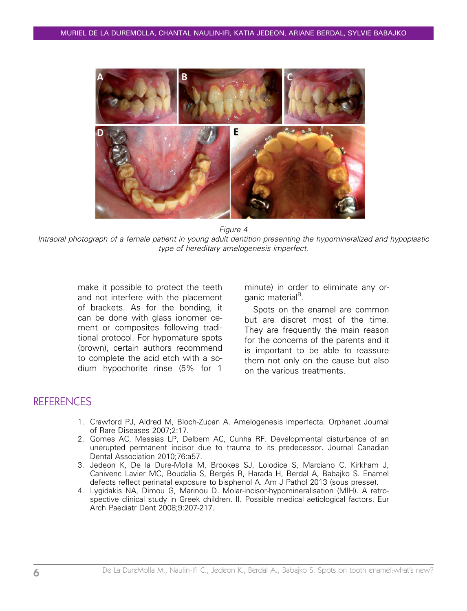

Figure 4

Intraoral photograph of a female patient in young adult dentition presenting the hypomineralized and hypoplastic type of hereditary amelogenesis imperfect.

make it possible to protect the teeth and not interfere with the placement of brackets. As for the bonding, it can be done with glass ionomer cement or composites following traditional protocol. For hypomature spots (brown), certain authors recommend to complete the acid etch with a sodium hypochorite rinse (5% for 1

minute) in order to eliminate any organic material<sup>8</sup>.

Spots on the enamel are common but are discret most of the time. They are frequently the main reason for the concerns of the parents and it is important to be able to reassure them not only on the cause but also on the various treatments.

### **REFERENCES**

- 1. Crawford PJ, Aldred M, Bloch-Zupan A. Amelogenesis imperfecta. Orphanet Journal of Rare Diseases 2007;2:17.
- 2. Gomes AC, Messias LP, Delbem AC, Cunha RF. Developmental disturbance of an unerupted permanent incisor due to trauma to its predecessor. Journal Canadian Dental Association 2010;76:a57.
- 3. Jedeon K, De la Dure-Molla M, Brookes SJ, Loiodice S, Marciano C, Kirkham J, Canivenc Lavier MC, Boudalia S, Bergés R, Harada H, Berdal A, Babajko S. Enamel defects reflect perinatal exposure to bisphenol A. Am J Pathol 2013 (sous presse).
- 4. Lygidakis NA, Dimou G, Marinou D. Molar-incisor-hypomineralisation (MIH). A retrospective clinical study in Greek children. II. Possible medical aetiological factors. Eur Arch Paediatr Dent 2008;9:207-217.